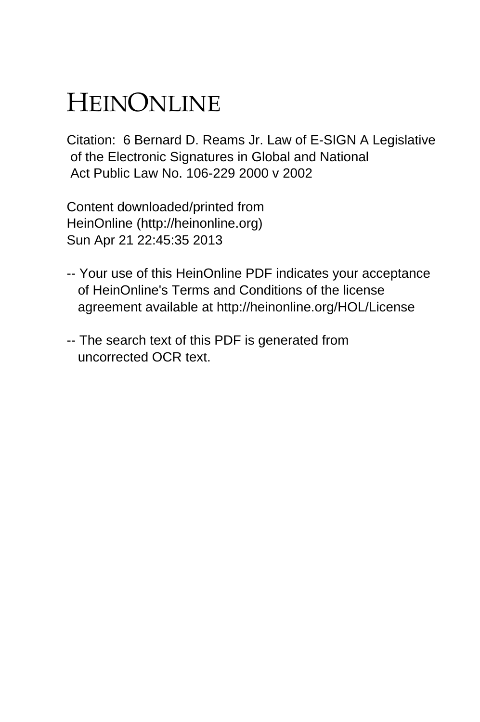# HEINONLINE

Citation: 6 Bernard D. Reams Jr. Law of E-SIGN A Legislative of the Electronic Signatures in Global and National Act Public Law No. 106-229 2000 v 2002

Content downloaded/printed from HeinOnline (http://heinonline.org) Sun Apr 21 22:45:35 2013

- -- Your use of this HeinOnline PDF indicates your acceptance of HeinOnline's Terms and Conditions of the license agreement available at http://heinonline.org/HOL/License
- -- The search text of this PDF is generated from uncorrected OCR text.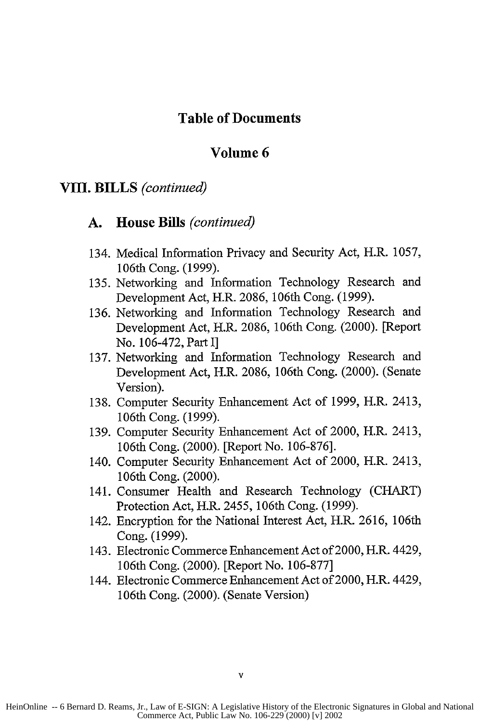#### **Table of Documents**

#### **Volume 6**

#### **VIII. BILLS** *(continued)*

#### **A. House Bills** *(continued)*

- 134. Medical Information Privacy and Security Act, H.R. **1057,** 106th Cong. (1999).
- 135. Networking and Information Technology Research and Development Act, H.R. 2086, 106th Cong. (1999).
- 136. Networking and Information Technology Research and Development Act, H.R. 2086, 106th Cong. (2000). [Report No. 106-472, Part I]
- 137. Networking and Information Technology Research and Development Act, H.R. 2086, 106th Cong. (2000). (Senate Version).
- 138. Computer Security Enhancement Act of 1999, H.R. 2413, 106th Cong. (1999).
- 139. Computer Security Enhancement Act of 2000, H.R. 2413, 106th Cong. (2000). [Report No. 106-876].
- 140. Computer Security Enhancement Act of 2000, H.R. 2413, 106th Cong. (2000).
- 141. Consumer Health and Research Technology (CHART) Protection Act, H.R. 2455, 106th Cong. (1999).
- 142. Encryption for the National Interest Act, H.R. 2616, 106th Cong. (1999).
- 143. Electronic Commerce Enhancement Act of 2000, H.R. 4429, 106th Cong. (2000). [Report No. 106-877]
- 144. Electronic Commerce Enhancement Act of 2000, H.R. 4429, 106th Cong. (2000). (Senate Version)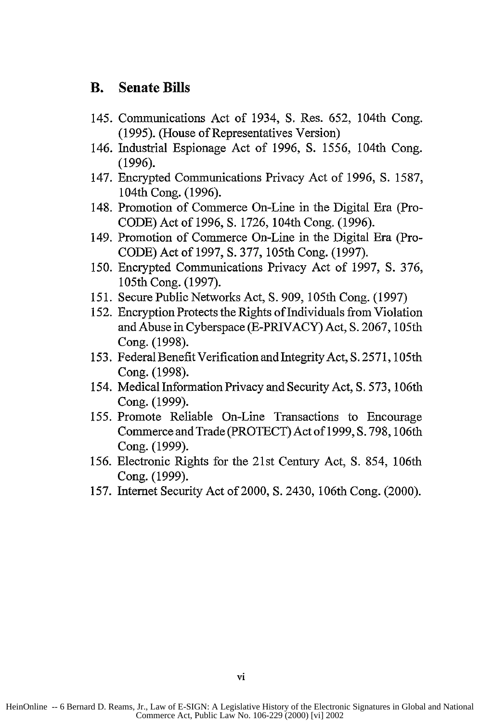### **B. Senate Bills**

- 145. Communications Act of 1934, **S.** Res. **652,** 104th Cong. **(1995).** (House of Representatives Version)
- 146. Industrial Espionage Act of **1996, S. 1556,** 104th Cong. **(1996).**
- 147. Encrypted Communications Privacy Act of **1996, S. 1587,** 104th Cong. **(1996).**
- 148. Promotion of Commerce On-Line in the Digital Era (Pro-**CODE)** Act of **1996, S. 1726,** 104th Cong. **(1996).**
- 149. Promotion of Commerce On-Line in the Digital Era (Pro-**CODE)** Act of **1997, S.** 377, 105th Cong. **(1997).**
- **150.** Encrypted Communications Privacy Act of **1997, S. 376,** 105th Cong. **(1997).**
- **151.** Secure Public Networks Act, **S. 909,** 105th Cong. **(1997)**
- **152.** Encryption Protects the Rights of Individuals from Violation and Abuse in Cyberspace (E-PRIVACY) Act, **S. 2067,** 105th Cong. **(1998).**
- **153.** Federal Benefit Verification and Integrity Act, **S. 2571,** 105th Cong. **(1998).**
- 154. Medical Information Privacy and Security Act, **S. 573,** 106th Cong. **(1999).**
- **155.** Promote Reliable On-Line Transactions to Encourage Commerce and Trade (PROTECT) Act of **1999, S.** 798, 106th Cong. **(1999).**
- **156.** Electronic Rights for the 21st Century Act, **S.** 854, 106th Cong. **(1999).**
- **157.** Internet Security Act of 2000, **S.** 2430, 106th Cong. (2000).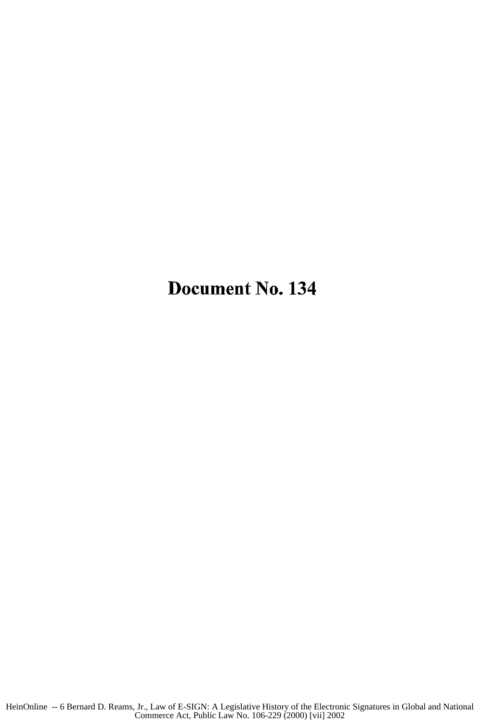## Document No. 134